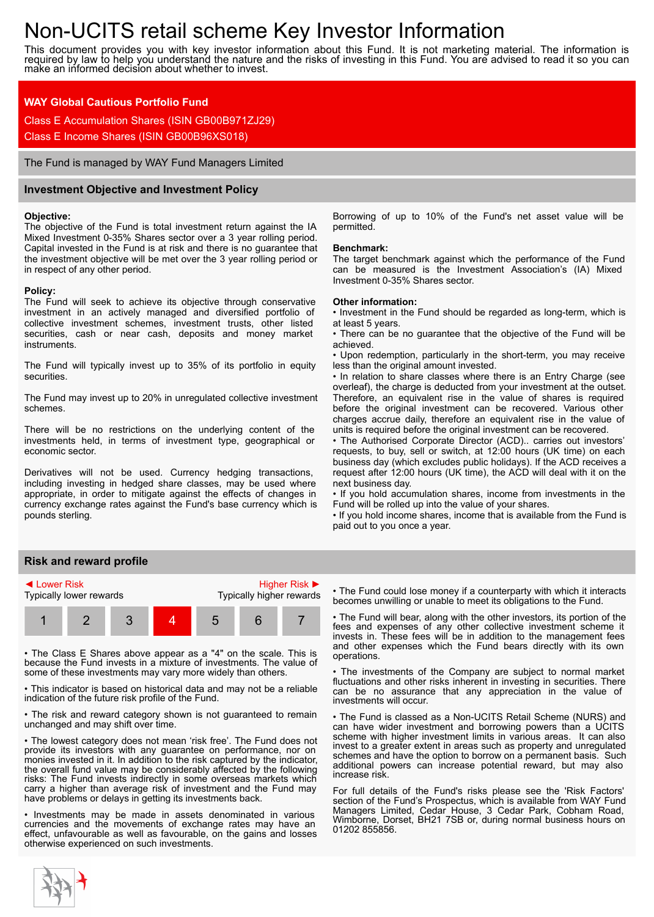# Non-UCITS retail scheme Key Investor Information

This document provides you with key investor information about this Fund. It is not marketing material. The information is required by law to help you understand the nature and the risks of investing in this Fund. You are advised to read it so you can make an informed decision about whether to invest.

## **WAY Global Cautious Portfolio Fund**

Class E Accumulation Shares (ISIN GB00B971ZJ29)

Class E Income Shares (ISIN GB00B96XS018)

The Fund is managed by WAY Fund Managers Limited

## **Investment Objective and Investment Policy**

#### **Objective:**

The objective of the Fund is total investment return against the IA Mixed Investment 0-35% Shares sector over a 3 year rolling period. Capital invested in the Fund is at risk and there is no guarantee that the investment objective will be met over the 3 year rolling period or in respect of any other period.

#### **Policy:**

The Fund will seek to achieve its objective through conservative investment in an actively managed and diversified portfolio of collective investment schemes, investment trusts, other listed securities, cash or near cash, deposits and money market instruments.

The Fund will typically invest up to 35% of its portfolio in equity securities.

The Fund may invest up to 20% in unregulated collective investment schemes.

There will be no restrictions on the underlying content of the investments held, in terms of investment type, geographical or economic sector.

Derivatives will not be used. Currency hedging transactions, including investing in hedged share classes, may be used where appropriate, in order to mitigate against the effects of changes in currency exchange rates against the Fund's base currency which is pounds sterling.

Borrowing of up to 10% of the Fund's net asset value will be permitted.

#### **Benchmark:**

The target benchmark against which the performance of the Fund can be measured is the Investment Association's (IA) Mixed Investment 0-35% Shares sector.

#### **Other information:**

• Investment in the Fund should be regarded as long-term, which is at least 5 years.

• There can be no guarantee that the objective of the Fund will be achieved.

• Upon redemption, particularly in the short-term, you may receive less than the original amount invested.

• In relation to share classes where there is an Entry Charge (see overleaf), the charge is deducted from your investment at the outset. Therefore, an equivalent rise in the value of shares is required before the original investment can be recovered. Various other charges accrue daily, therefore an equivalent rise in the value of units is required before the original investment can be recovered.

• The Authorised Corporate Director (ACD).. carries out investors' requests, to buy, sell or switch, at 12:00 hours (UK time) on each business day (which excludes public holidays). If the ACD receives a request after 12:00 hours (UK time), the ACD will deal with it on the next business day.

• If you hold accumulation shares, income from investments in the Fund will be rolled up into the value of your shares.

• If you hold income shares, income that is available from the Fund is paid out to you once a year.

## **Risk and reward profile**



• The Class E Shares above appear as a "4" on the scale. This is because the Fund invests in a mixture of investments. The value of some of these investments may vary more widely than others.

• This indicator is based on historical data and may not be a reliable indication of the future risk profile of the Fund.

• The risk and reward category shown is not guaranteed to remain unchanged and may shift over time.

• The lowest category does not mean 'risk free'. The Fund does not provide its investors with any guarantee on performance, nor on monies invested in it. In addition to the risk captured by the indicator, the overall fund value may be considerably affected by the following risks: The Fund invests indirectly in some overseas markets which carry a higher than average risk of investment and the Fund may have problems or delays in getting its investments back.

• Investments may be made in assets denominated in various currencies and the movements of exchange rates may have an effect, unfavourable as well as favourable, on the gains and losses otherwise experienced on such investments.

• The Fund could lose money if a counterparty with which it interacts becomes unwilling or unable to meet its obligations to the Fund.

• The Fund will bear, along with the other investors, its portion of the fees and expenses of any other collective investment scheme it invests in. These fees will be in addition to the management fees and other expenses which the Fund bears directly with its own operations.

The investments of the Company are subject to normal market fluctuations and other risks inherent in investing in securities. There can be no assurance that any appreciation in the value of investments will occur.

• The Fund is classed as a Non-UCITS Retail Scheme (NURS) and can have wider investment and borrowing powers than a UCITS scheme with higher investment limits in various areas. It can also invest to a greater extent in areas such as property and unregulated schemes and have the option to borrow on a permanent basis. Such additional powers can increase potential reward, but may also increase risk.

For full details of the Fund's risks please see the 'Risk Factors' section of the Fund's Prospectus, which is available from WAY Fund Managers Limited, Cedar House, 3 Cedar Park, Cobham Road, Wimborne, Dorset, BH21 7SB or, during normal business hours on 01202 855856.